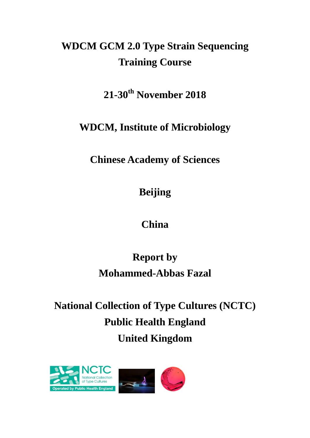# **WDCM GCM 2.0 Type Strain Sequencing Training Course**

**21-30th November 2018**

**WDCM, Institute of Microbiology**

**Chinese Academy of Sciences**

**Beijing**

**China**

## **Report by Mohammed-Abbas Fazal**

# **National Collection of Type Cultures (NCTC) Public Health England United Kingdom**

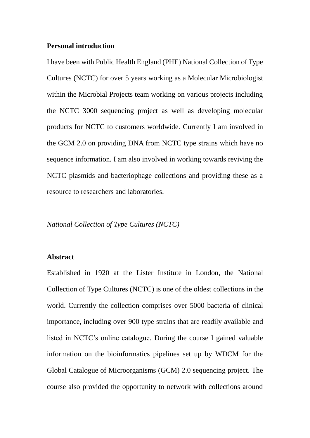#### **Personal introduction**

I have been with Public Health England (PHE) National Collection of Type Cultures (NCTC) for over 5 years working as a Molecular Microbiologist within the Microbial Projects team working on various projects including the NCTC 3000 sequencing project as well as developing molecular products for NCTC to customers worldwide. Currently I am involved in the GCM 2.0 on providing DNA from NCTC type strains which have no sequence information. I am also involved in working towards reviving the NCTC plasmids and bacteriophage collections and providing these as a resource to researchers and laboratories.

#### *National Collection of Type Cultures (NCTC)*

#### **Abstract**

Established in 1920 at the Lister Institute in London, the National Collection of Type Cultures (NCTC) is one of the oldest collections in the world. Currently the collection comprises over 5000 bacteria of clinical importance, including over 900 type strains that are readily available and listed in NCTC's online catalogue. During the course I gained valuable information on the bioinformatics pipelines set up by WDCM for the Global Catalogue of Microorganisms (GCM) 2.0 sequencing project. The course also provided the opportunity to network with collections around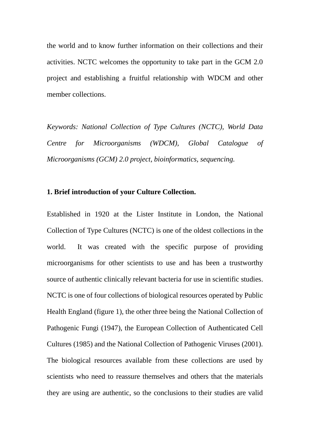the world and to know further information on their collections and their activities. NCTC welcomes the opportunity to take part in the GCM 2.0 project and establishing a fruitful relationship with WDCM and other member collections.

*Keywords: National Collection of Type Cultures (NCTC), World Data Centre for Microorganisms (WDCM), Global Catalogue of Microorganisms (GCM) 2.0 project, bioinformatics, sequencing.* 

#### **1. Brief introduction of your Culture Collection.**

Established in 1920 at the Lister Institute in London, the National Collection of Type Cultures (NCTC) is one of the oldest collections in the world. It was created with the specific purpose of providing microorganisms for other scientists to use and has been a trustworthy source of authentic clinically relevant bacteria for use in scientific studies. NCTC is one of four collections of biological resources operated by Public Health England (figure 1), the other three being the National Collection of Pathogenic Fungi (1947), the European Collection of Authenticated Cell Cultures (1985) and the National Collection of Pathogenic Viruses (2001). The biological resources available from these collections are used by scientists who need to reassure themselves and others that the materials they are using are authentic, so the conclusions to their studies are valid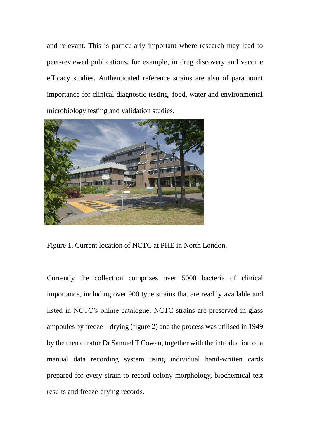and relevant. This is particularly important where research may lead to peer-reviewed publications, for example, in drug discovery and vaccine efficacy studies. Authenticated reference strains are also of paramount importance for clinical diagnostic testing, food, water and environmental microbiology testing and validation studies.



Figure 1. Current location of NCTC at PHE in North London.

Currently the collection comprises over 5000 bacteria of clinical importance, including over 900 type strains that are readily available and listed in NCTC's online catalogue. NCTC strains are preserved in glass ampoules by freeze – drying (figure 2) and the process was utilised in 1949 by the then curator Dr Samuel T Cowan, together with the introduction of a manual data recording system using individual hand-written cards prepared for every strain to record colony morphology, biochemical test results and freeze-drying records.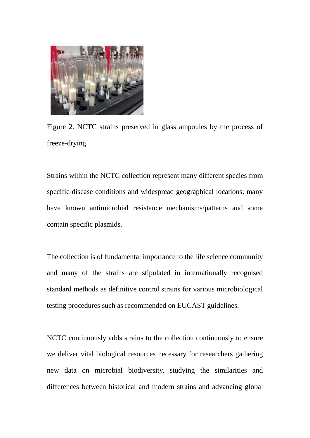

Figure 2. NCTC strains preserved in glass ampoules by the process of freeze-drying.

Strains within the NCTC collection represent many different species from specific disease conditions and widespread geographical locations; many have known antimicrobial resistance mechanisms/patterns and some contain specific plasmids.

The collection is of fundamental importance to the life science community and many of the strains are stipulated in internationally recognised standard methods as definitive control strains for various microbiological testing procedures such as recommended on EUCAST guidelines.

NCTC continuously adds strains to the collection continuously to ensure we deliver vital biological resources necessary for researchers gathering new data on microbial biodiversity, studying the similarities and differences between historical and modern strains and advancing global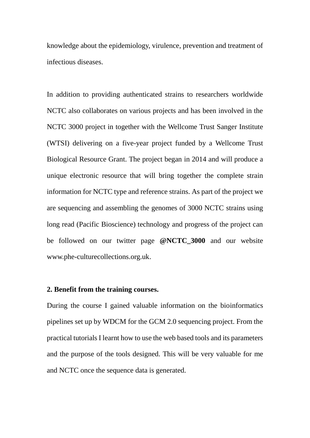knowledge about the epidemiology, virulence, prevention and treatment of infectious diseases.

In addition to providing authenticated strains to researchers worldwide NCTC also collaborates on various projects and has been involved in the NCTC 3000 project in together with the Wellcome Trust Sanger Institute (WTSI) delivering on a five-year project funded by a Wellcome Trust Biological Resource Grant. The project began in 2014 and will produce a unique electronic resource that will bring together the complete strain information for NCTC type and reference strains. As part of the project we are sequencing and assembling the genomes of 3000 NCTC strains using long read (Pacific Bioscience) technology and progress of the project can be followed on our twitter page **@NCTC\_3000** and our website www.phe-culturecollections.org.uk.

#### **2. Benefit from the training courses.**

During the course I gained valuable information on the bioinformatics pipelines set up by WDCM for the GCM 2.0 sequencing project. From the practical tutorials I learnt how to use the web based tools and its parameters and the purpose of the tools designed. This will be very valuable for me and NCTC once the sequence data is generated.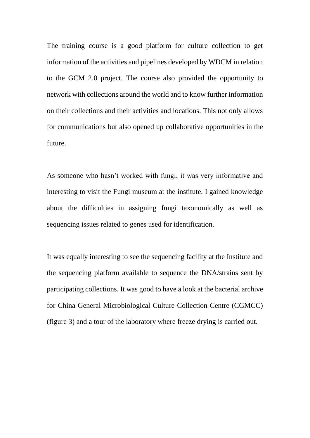The training course is a good platform for culture collection to get information of the activities and pipelines developed by WDCM in relation to the GCM 2.0 project. The course also provided the opportunity to network with collections around the world and to know further information on their collections and their activities and locations. This not only allows for communications but also opened up collaborative opportunities in the future.

As someone who hasn't worked with fungi, it was very informative and interesting to visit the Fungi museum at the institute. I gained knowledge about the difficulties in assigning fungi taxonomically as well as sequencing issues related to genes used for identification.

It was equally interesting to see the sequencing facility at the Institute and the sequencing platform available to sequence the DNA/strains sent by participating collections. It was good to have a look at the bacterial archive for China General Microbiological Culture Collection Centre (CGMCC) (figure 3) and a tour of the laboratory where freeze drying is carried out.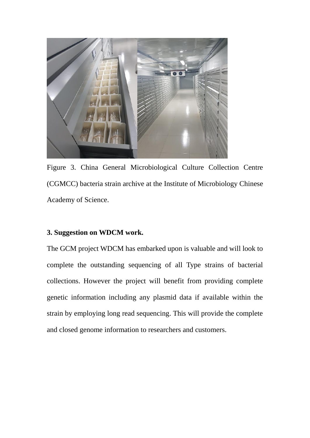

Figure 3. China General Microbiological Culture Collection Centre (CGMCC) bacteria strain archive at the Institute of Microbiology Chinese Academy of Science.

#### **3. Suggestion on WDCM work.**

The GCM project WDCM has embarked upon is valuable and will look to complete the outstanding sequencing of all Type strains of bacterial collections. However the project will benefit from providing complete genetic information including any plasmid data if available within the strain by employing long read sequencing. This will provide the complete and closed genome information to researchers and customers.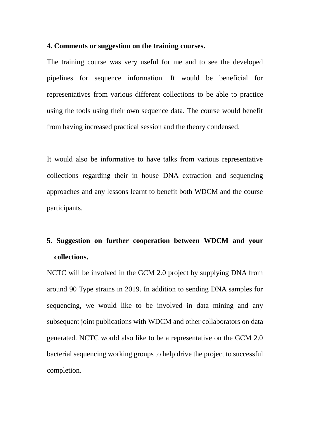#### **4. Comments or suggestion on the training courses.**

The training course was very useful for me and to see the developed pipelines for sequence information. It would be beneficial for representatives from various different collections to be able to practice using the tools using their own sequence data. The course would benefit from having increased practical session and the theory condensed.

It would also be informative to have talks from various representative collections regarding their in house DNA extraction and sequencing approaches and any lessons learnt to benefit both WDCM and the course participants.

### **5. Suggestion on further cooperation between WDCM and your collections.**

NCTC will be involved in the GCM 2.0 project by supplying DNA from around 90 Type strains in 2019. In addition to sending DNA samples for sequencing, we would like to be involved in data mining and any subsequent joint publications with WDCM and other collaborators on data generated. NCTC would also like to be a representative on the GCM 2.0 bacterial sequencing working groups to help drive the project to successful completion.